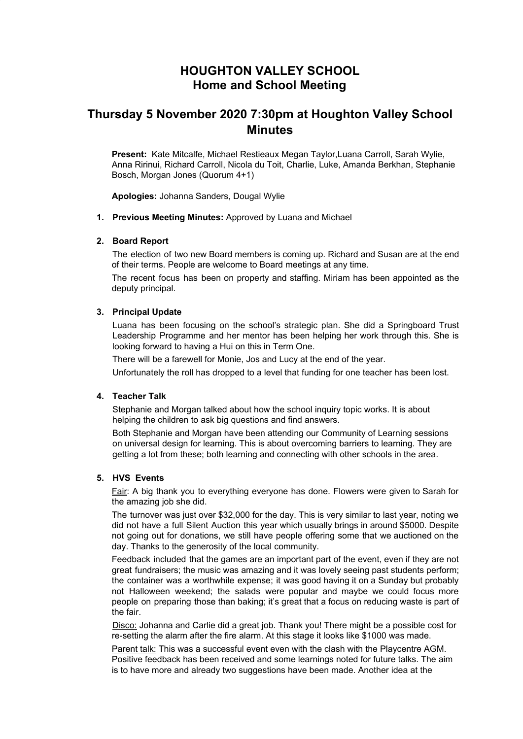# **HOUGHTON VALLEY SCHOOL Home and School Meeting**

# **Thursday 5 November 2020 7:30pm at Houghton Valley School Minutes**

**Present:** Kate Mitcalfe, Michael Restieaux Megan Taylor,Luana Carroll, Sarah Wylie, Anna Ririnui, Richard Carroll, Nicola du Toit, Charlie, Luke, Amanda Berkhan, Stephanie Bosch, Morgan Jones (Quorum 4+1)

**Apologies:** Johanna Sanders, Dougal Wylie

**1. Previous Meeting Minutes:** Approved by Luana and Michael

#### **2. Board Report**

The election of two new Board members is coming up. Richard and Susan are at the end of their terms. People are welcome to Board meetings at any time.

The recent focus has been on property and staffing. Miriam has been appointed as the deputy principal.

#### **3. Principal Update**

Luana has been focusing on the school's strategic plan. She did a Springboard Trust Leadership Programme and her mentor has been helping her work through this. She is looking forward to having a Hui on this in Term One.

There will be a farewell for Monie, Jos and Lucy at the end of the year.

Unfortunately the roll has dropped to a level that funding for one teacher has been lost.

#### **4. Teacher Talk**

Stephanie and Morgan talked about how the school inquiry topic works. It is about helping the children to ask big questions and find answers.

Both Stephanie and Morgan have been attending our Community of Learning sessions on universal design for learning. This is about overcoming barriers to learning. They are getting a lot from these; both learning and connecting with other schools in the area.

#### **5. HVS Events**

Fair: A big thank you to everything everyone has done. Flowers were given to Sarah for the amazing job she did.

The turnover was just over \$32,000 for the day. This is very similar to last year, noting we did not have a full Silent Auction this year which usually brings in around \$5000. Despite not going out for donations, we still have people offering some that we auctioned on the day. Thanks to the generosity of the local community.

Feedback included that the games are an important part of the event, even if they are not great fundraisers; the music was amazing and it was lovely seeing past students perform; the container was a worthwhile expense; it was good having it on a Sunday but probably not Halloween weekend; the salads were popular and maybe we could focus more people on preparing those than baking; it's great that a focus on reducing waste is part of the fair.

Disco: Johanna and Carlie did a great job. Thank you! There might be a possible cost for re-setting the alarm after the fire alarm. At this stage it looks like \$1000 was made.

Parent talk: This was a successful event even with the clash with the Playcentre AGM. Positive feedback has been received and some learnings noted for future talks. The aim is to have more and already two suggestions have been made. Another idea at the